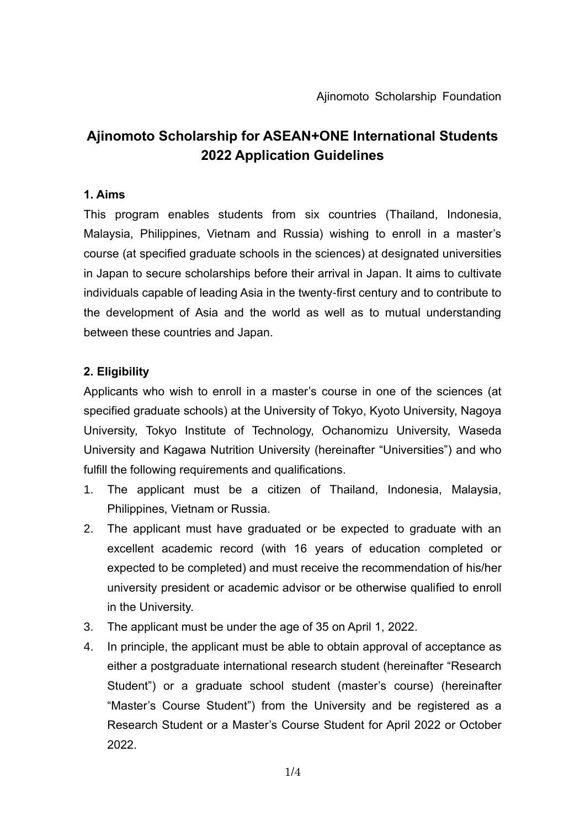# **Ajinomoto Scholarship for ASEAN+ONE International Students 2022 Application Guidelines**

### **1. Aims**

This program enables students from six countries (Thailand, Indonesia, Malaysia, Philippines, Vietnam and Russia) wishing to enroll in a master's course (at specified graduate schools in the sciences) at designated universities in Japan to secure scholarships before their arrival in Japan. It aims to cultivate individuals capable of leading Asia in the twenty-first century and to contribute to the development of Asia and the world as well as to mutual understanding between these countries and Japan.

### **2. Eligibility**

Applicants who wish to enroll in a master's course in one of the sciences (at specified graduate schools) at the University of Tokyo, Kyoto University, Nagoya University, Tokyo Institute of Technology, Ochanomizu University, Waseda University and Kagawa Nutrition University (hereinafter "Universities") and who fulfill the following requirements and qualifications.

- 1. The applicant must be a citizen of Thailand, Indonesia, Malaysia, Philippines, Vietnam or Russia.
- 2. The applicant must have graduated or be expected to graduate with an excellent academic record (with 16 years of education completed or expected to be completed) and must receive the recommendation of his/her university president or academic advisor or be otherwise qualified to enroll in the University.
- 3. The applicant must be under the age of 35 on April 1, 2022.
- 4. In principle, the applicant must be able to obtain approval of acceptance as either a postgraduate international research student (hereinafter "Research Student") or a graduate school student (master's course) (hereinafter "Master's Course Student") from the University and be registered as a Research Student or a Master's Course Student for April 2022 or October 2022.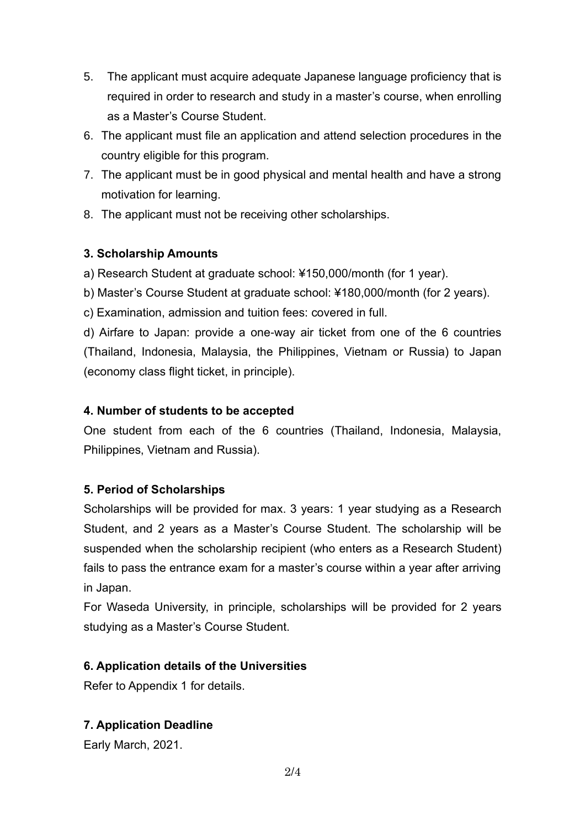- 5. The applicant must acquire adequate Japanese language proficiency that is required in order to research and study in a master's course, when enrolling as a Master's Course Student.
- 6. The applicant must file an application and attend selection procedures in the country eligible for this program.
- 7. The applicant must be in good physical and mental health and have a strong motivation for learning.
- 8. The applicant must not be receiving other scholarships.

## **3. Scholarship Amounts**

a) Research Student at graduate school: ¥150,000/month (for 1 year).

b) Master's Course Student at graduate school: ¥180,000/month (for 2 years).

c) Examination, admission and tuition fees: covered in full.

d) Airfare to Japan: provide a one-way air ticket from one of the 6 countries (Thailand, Indonesia, Malaysia, the Philippines, Vietnam or Russia) to Japan (economy class flight ticket, in principle).

### **4. Number of students to be accepted**

One student from each of the 6 countries (Thailand, Indonesia, Malaysia, Philippines, Vietnam and Russia).

### **5. Period of Scholarships**

Scholarships will be provided for max. 3 years: 1 year studying as a Research Student, and 2 years as a Master's Course Student. The scholarship will be suspended when the scholarship recipient (who enters as a Research Student) fails to pass the entrance exam for a master's course within a year after arriving in Japan.

For Waseda University, in principle, scholarships will be provided for 2 years studying as a Master's Course Student.

## **6. Application details of the Universities**

Refer to Appendix 1 for details.

## **7. Application Deadline**

Early March, 2021.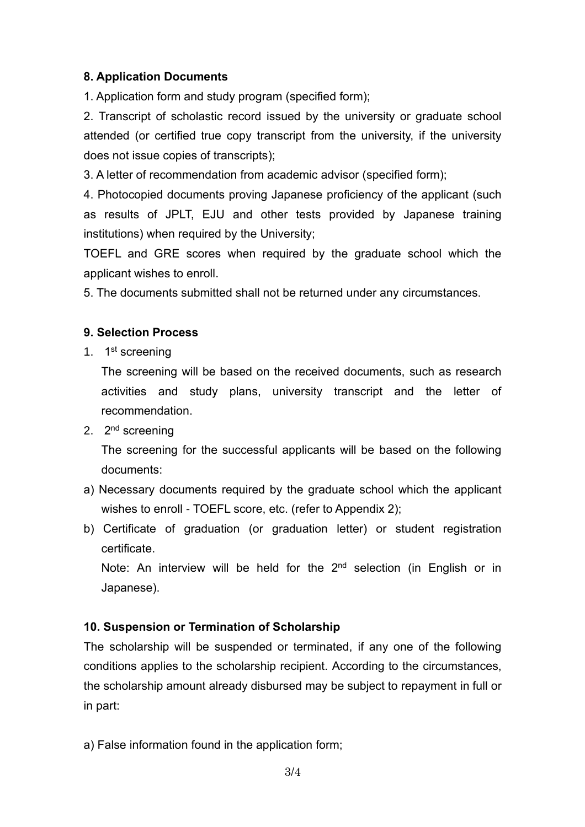### **8. Application Documents**

1. Application form and study program (specified form);

2. Transcript of scholastic record issued by the university or graduate school attended (or certified true copy transcript from the university, if the university does not issue copies of transcripts);

3. A letter of recommendation from academic advisor (specified form);

4. Photocopied documents proving Japanese proficiency of the applicant (such as results of JPLT, EJU and other tests provided by Japanese training institutions) when required by the University;

TOEFL and GRE scores when required by the graduate school which the applicant wishes to enroll.

5. The documents submitted shall not be returned under any circumstances.

### **9. Selection Process**

1. 1<sup>st</sup> screening

The screening will be based on the received documents, such as research activities and study plans, university transcript and the letter of recommendation.

2. 2<sup>nd</sup> screening

The screening for the successful applicants will be based on the following documents:

- a) Necessary documents required by the graduate school which the applicant wishes to enroll - TOEFL score, etc. (refer to Appendix 2);
- b) Certificate of graduation (or graduation letter) or student registration certificate.

Note: An interview will be held for the  $2<sup>nd</sup>$  selection (in English or in Japanese).

## **10. Suspension or Termination of Scholarship**

The scholarship will be suspended or terminated, if any one of the following conditions applies to the scholarship recipient. According to the circumstances, the scholarship amount already disbursed may be subject to repayment in full or in part:

a) False information found in the application form;